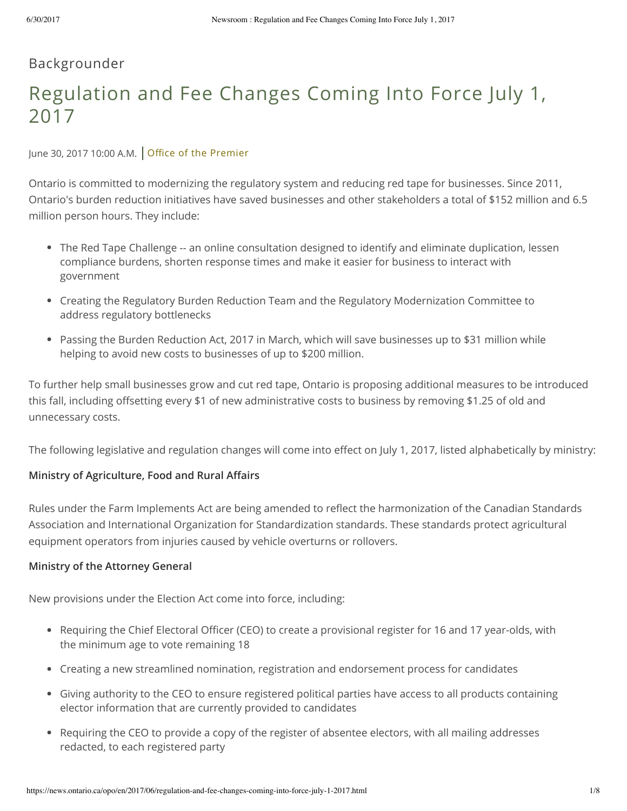# Backgrounder

# Regulation and Fee Changes Coming Into Force July 1, 2017

June 30, 2017 10:00 A.M. Office of the [Premier](https://news.ontario.ca/opo/en)

Ontario is committed to modernizing the regulatory system and reducing red tape for businesses. Since 2011, Ontario's burden reduction initiatives have saved businesses and other stakeholders a total of \$152 million and 6.5 million person hours. They include:

- The Red Tape Challenge -- an online consultation designed to identify and eliminate duplication, lessen compliance burdens, shorten response times and make it easier for business to interact with government
- Creating the Regulatory Burden Reduction Team and the Regulatory Modernization Committee to address regulatory bottlenecks
- Passing the Burden Reduction Act, 2017 in March, which will save businesses up to \$31 million while helping to avoid new costs to businesses of up to \$200 million.

To further help small businesses grow and cut red tape, Ontario is proposing additional measures to be introduced this fall, including offsetting every \$1 of new administrative costs to business by removing \$1.25 of old and unnecessary costs.

The following legislative and regulation changes will come into effect on July 1, 2017, listed alphabetically by ministry:

### **Ministry of Agriculture, Food and Rural Affairs**

Rules under the Farm Implements Act are being amended to reflect the harmonization of the Canadian Standards Association and International Organization for Standardization standards. These standards protect agricultural equipment operators from injuries caused by vehicle overturns or rollovers.

#### **Ministry of the Attorney General**

New provisions under the Election Act come into force, including:

- Requiring the Chief Electoral Officer (CEO) to create a provisional register for 16 and 17 year-olds, with the minimum age to vote remaining 18
- Creating a new streamlined nomination, registration and endorsement process for candidates
- Giving authority to the CEO to ensure registered political parties have access to all products containing elector information that are currently provided to candidates
- Requiring the CEO to provide a copy of the register of absentee electors, with all mailing addresses redacted, to each registered party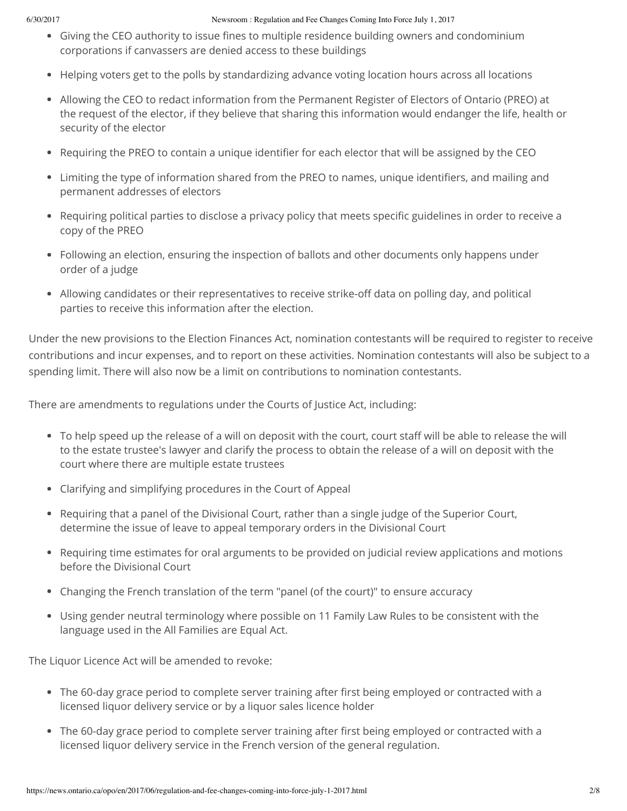- Giving the CEO authority to issue fines to multiple residence building owners and condominium corporations if canvassers are denied access to these buildings
- Helping voters get to the polls by standardizing advance voting location hours across all locations
- Allowing the CEO to redact information from the Permanent Register of Electors of Ontario (PREO) at the request of the elector, if they believe that sharing this information would endanger the life, health or security of the elector
- Requiring the PREO to contain a unique identifier for each elector that will be assigned by the CEO
- Limiting the type of information shared from the PREO to names, unique identifiers, and mailing and permanent addresses of electors
- Requiring political parties to disclose a privacy policy that meets specific guidelines in order to receive a copy of the PREO
- Following an election, ensuring the inspection of ballots and other documents only happens under order of a judge
- Allowing candidates or their representatives to receive strike-off data on polling day, and political parties to receive this information after the election.

Under the new provisions to the Election Finances Act, nomination contestants will be required to register to receive contributions and incur expenses, and to report on these activities. Nomination contestants will also be subject to a spending limit. There will also now be a limit on contributions to nomination contestants.

There are amendments to regulations under the Courts of Justice Act, including:

- To help speed up the release of a will on deposit with the court, court staff will be able to release the will to the estate trustee's lawyer and clarify the process to obtain the release of a will on deposit with the court where there are multiple estate trustees
- Clarifying and simplifying procedures in the Court of Appeal
- Requiring that a panel of the Divisional Court, rather than a single judge of the Superior Court, determine the issue of leave to appeal temporary orders in the Divisional Court
- Requiring time estimates for oral arguments to be provided on judicial review applications and motions before the Divisional Court
- Changing the French translation of the term "panel (of the court)" to ensure accuracy
- Using gender neutral terminology where possible on 11 Family Law Rules to be consistent with the language used in the All Families are Equal Act.

The Liquor Licence Act will be amended to revoke:

- The 60-day grace period to complete server training after first being employed or contracted with a licensed liquor delivery service or by a liquor sales licence holder
- The 60-day grace period to complete server training after first being employed or contracted with a licensed liquor delivery service in the French version of the general regulation.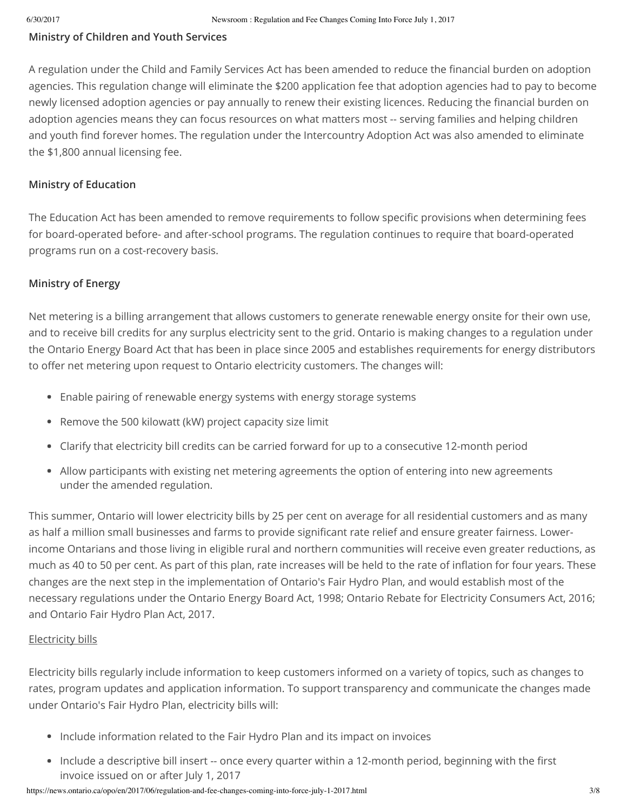#### **Ministry of Children and Youth Services**

A regulation under the Child and Family Services Act has been amended to reduce the financial burden on adoption agencies. This regulation change will eliminate the \$200 application fee that adoption agencies had to pay to become newly licensed adoption agencies or pay annually to renew their existing licences. Reducing the financial burden on adoption agencies means they can focus resources on what matters most -- serving families and helping children and youth find forever homes. The regulation under the Intercountry Adoption Act was also amended to eliminate the \$1,800 annual licensing fee.

#### **Ministry of Education**

The Education Act has been amended to remove requirements to follow specific provisions when determining fees for board-operated before- and after-school programs. The regulation continues to require that board-operated programs run on a cost-recovery basis.

#### **Ministry of Energy**

Net metering is a billing arrangement that allows customers to generate renewable energy onsite for their own use, and to receive bill credits for any surplus electricity sent to the grid. Ontario is making changes to a regulation under the Ontario Energy Board Act that has been in place since 2005 and establishes requirements for energy distributors to offer net metering upon request to Ontario electricity customers. The changes will:

- Enable pairing of renewable energy systems with energy storage systems
- Remove the 500 kilowatt (kW) project capacity size limit
- Clarify that electricity bill credits can be carried forward for up to a consecutive 12-month period
- Allow participants with existing net metering agreements the option of entering into new agreements under the amended regulation.

This summer, Ontario will lower electricity bills by 25 per cent on average for all residential customers and as many as half a million small businesses and farms to provide significant rate relief and ensure greater fairness. Lowerincome Ontarians and those living in eligible rural and northern communities will receive even greater reductions, as much as 40 to 50 per cent. As part of this plan, rate increases will be held to the rate of inflation for four years. These changes are the next step in the implementation of Ontario's Fair Hydro Plan, and would establish most of the necessary regulations under the Ontario Energy Board Act, 1998; Ontario Rebate for Electricity Consumers Act, 2016; and Ontario Fair Hydro Plan Act, 2017.

#### Electricity bills

Electricity bills regularly include information to keep customers informed on a variety of topics, such as changes to rates, program updates and application information. To support transparency and communicate the changes made under Ontario's Fair Hydro Plan, electricity bills will:

- Include information related to the Fair Hydro Plan and its impact on invoices
- Include a descriptive bill insert -- once every quarter within a 12-month period, beginning with the first invoice issued on or after July 1, 2017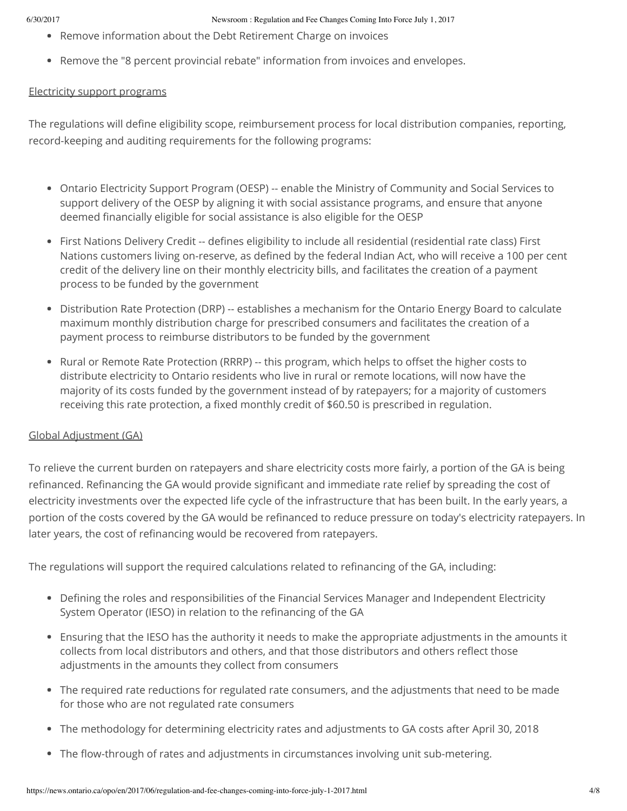- Remove information about the Debt Retirement Charge on invoices
- Remove the "8 percent provincial rebate" information from invoices and envelopes.

#### Electricity support programs

The regulations will define eligibility scope, reimbursement process for local distribution companies, reporting, record-keeping and auditing requirements for the following programs:

- Ontario Electricity Support Program (OESP) -- enable the Ministry of Community and Social Services to support delivery of the OESP by aligning it with social assistance programs, and ensure that anyone deemed financially eligible for social assistance is also eligible for the OESP
- First Nations Delivery Credit -- defines eligibility to include all residential (residential rate class) First Nations customers living on-reserve, as defined by the federal Indian Act, who will receive a 100 per cent credit of the delivery line on their monthly electricity bills, and facilitates the creation of a payment process to be funded by the government
- Distribution Rate Protection (DRP) -- establishes a mechanism for the Ontario Energy Board to calculate maximum monthly distribution charge for prescribed consumers and facilitates the creation of a payment process to reimburse distributors to be funded by the government
- Rural or Remote Rate Protection (RRRP) -- this program, which helps to offset the higher costs to distribute electricity to Ontario residents who live in rural or remote locations, will now have the majority of its costs funded by the government instead of by ratepayers; for a majority of customers receiving this rate protection, a fixed monthly credit of \$60.50 is prescribed in regulation.

#### Global Adjustment (GA)

To relieve the current burden on ratepayers and share electricity costs more fairly, a portion of the GA is being refinanced. Refinancing the GA would provide significant and immediate rate relief by spreading the cost of electricity investments over the expected life cycle of the infrastructure that has been built. In the early years, a portion of the costs covered by the GA would be refinanced to reduce pressure on today's electricity ratepayers. In later years, the cost of refinancing would be recovered from ratepayers.

The regulations will support the required calculations related to refinancing of the GA, including:

- Defining the roles and responsibilities of the Financial Services Manager and Independent Electricity System Operator (IESO) in relation to the refinancing of the GA
- Ensuring that the IESO has the authority it needs to make the appropriate adjustments in the amounts it collects from local distributors and others, and that those distributors and others reflect those adjustments in the amounts they collect from consumers
- The required rate reductions for regulated rate consumers, and the adjustments that need to be made for those who are not regulated rate consumers
- The methodology for determining electricity rates and adjustments to GA costs after April 30, 2018
- The flow-through of rates and adjustments in circumstances involving unit sub-metering.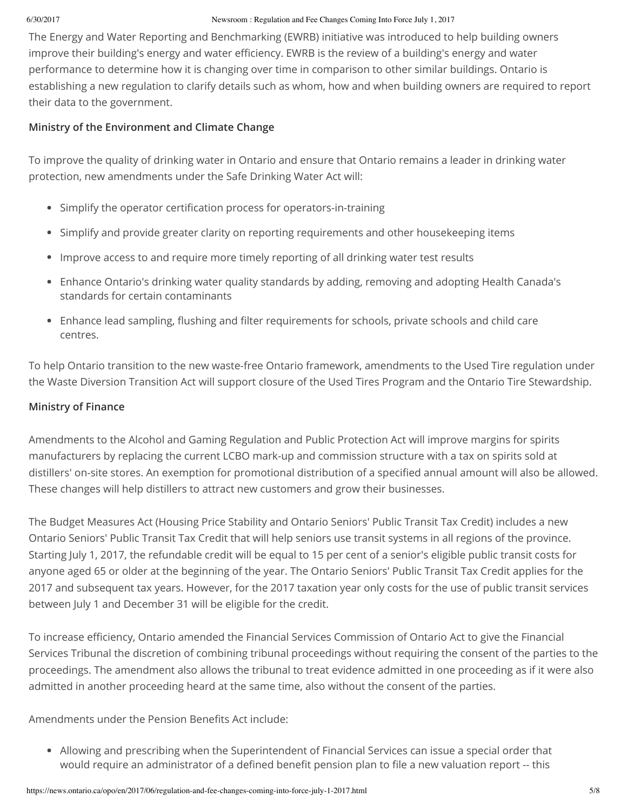The Energy and Water Reporting and Benchmarking (EWRB) initiative was introduced to help building owners improve their building's energy and water efficiency. EWRB is the review of a building's energy and water performance to determine how it is changing over time in comparison to other similar buildings. Ontario is establishing a new regulation to clarify details such as whom, how and when building owners are required to report their data to the government.

#### **Ministry of the Environment and Climate Change**

To improve the quality of drinking water in Ontario and ensure that Ontario remains a leader in drinking water protection, new amendments under the Safe Drinking Water Act will:

- Simplify the operator certification process for operators-in-training
- Simplify and provide greater clarity on reporting requirements and other housekeeping items
- Improve access to and require more timely reporting of all drinking water test results
- Enhance Ontario's drinking water quality standards by adding, removing and adopting Health Canada's standards for certain contaminants
- Enhance lead sampling, flushing and filter requirements for schools, private schools and child care centres.

To help Ontario transition to the new waste-free Ontario framework, amendments to the Used Tire regulation under the Waste Diversion Transition Act will support closure of the Used Tires Program and the Ontario Tire Stewardship.

#### **Ministry of Finance**

Amendments to the Alcohol and Gaming Regulation and Public Protection Act will improve margins for spirits manufacturers by replacing the current LCBO mark-up and commission structure with a tax on spirits sold at distillers' on-site stores. An exemption for promotional distribution of a specified annual amount will also be allowed. These changes will help distillers to attract new customers and grow their businesses.

The Budget Measures Act (Housing Price Stability and Ontario Seniors' Public Transit Tax Credit) includes a new Ontario Seniors' Public Transit Tax Credit that will help seniors use transit systems in all regions of the province. Starting July 1, 2017, the refundable credit will be equal to 15 per cent of a senior's eligible public transit costs for anyone aged 65 or older at the beginning of the year. The Ontario Seniors' Public Transit Tax Credit applies for the 2017 and subsequent tax years. However, for the 2017 taxation year only costs for the use of public transit services between July 1 and December 31 will be eligible for the credit.

To increase efficiency, Ontario amended the Financial Services Commission of Ontario Act to give the Financial Services Tribunal the discretion of combining tribunal proceedings without requiring the consent of the parties to the proceedings. The amendment also allows the tribunal to treat evidence admitted in one proceeding as if it were also admitted in another proceeding heard at the same time, also without the consent of the parties.

Amendments under the Pension Benefits Act include:

Allowing and prescribing when the Superintendent of Financial Services can issue a special order that would require an administrator of a defined benefit pension plan to file a new valuation report -- this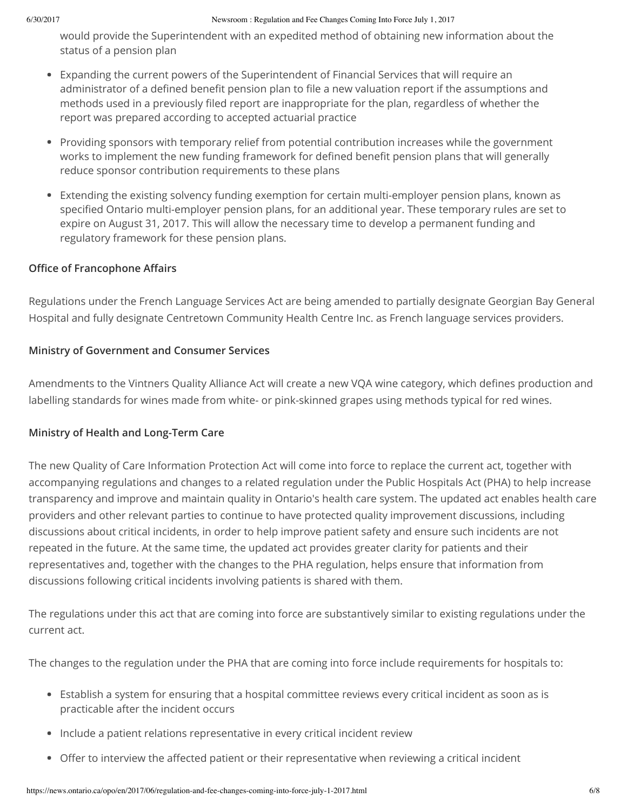would provide the Superintendent with an expedited method of obtaining new information about the status of a pension plan

- Expanding the current powers of the Superintendent of Financial Services that will require an administrator of a defined benefit pension plan to file a new valuation report if the assumptions and methods used in a previously filed report are inappropriate for the plan, regardless of whether the report was prepared according to accepted actuarial practice
- Providing sponsors with temporary relief from potential contribution increases while the government works to implement the new funding framework for defined benefit pension plans that will generally reduce sponsor contribution requirements to these plans
- Extending the existing solvency funding exemption for certain multi-employer pension plans, known as specified Ontario multi-employer pension plans, for an additional year. These temporary rules are set to expire on August 31, 2017. This will allow the necessary time to develop a permanent funding and regulatory framework for these pension plans.

### **Office of Francophone Affairs**

Regulations under the French Language Services Act are being amended to partially designate Georgian Bay General Hospital and fully designate Centretown Community Health Centre Inc. as French language services providers.

### **Ministry of Government and Consumer Services**

Amendments to the Vintners Quality Alliance Act will create a new VQA wine category, which defines production and labelling standards for wines made from white- or pink-skinned grapes using methods typical for red wines.

## **Ministry of Health and Long-Term Care**

The new Quality of Care Information Protection Act will come into force to replace the current act, together with accompanying regulations and changes to a related regulation under the Public Hospitals Act (PHA) to help increase transparency and improve and maintain quality in Ontario's health care system. The updated act enables health care providers and other relevant parties to continue to have protected quality improvement discussions, including discussions about critical incidents, in order to help improve patient safety and ensure such incidents are not repeated in the future. At the same time, the updated act provides greater clarity for patients and their representatives and, together with the changes to the PHA regulation, helps ensure that information from discussions following critical incidents involving patients is shared with them.

The regulations under this act that are coming into force are substantively similar to existing regulations under the current act.

The changes to the regulation under the PHA that are coming into force include requirements for hospitals to:

- Establish a system for ensuring that a hospital committee reviews every critical incident as soon as is practicable after the incident occurs
- Include a patient relations representative in every critical incident review
- Offer to interview the affected patient or their representative when reviewing a critical incident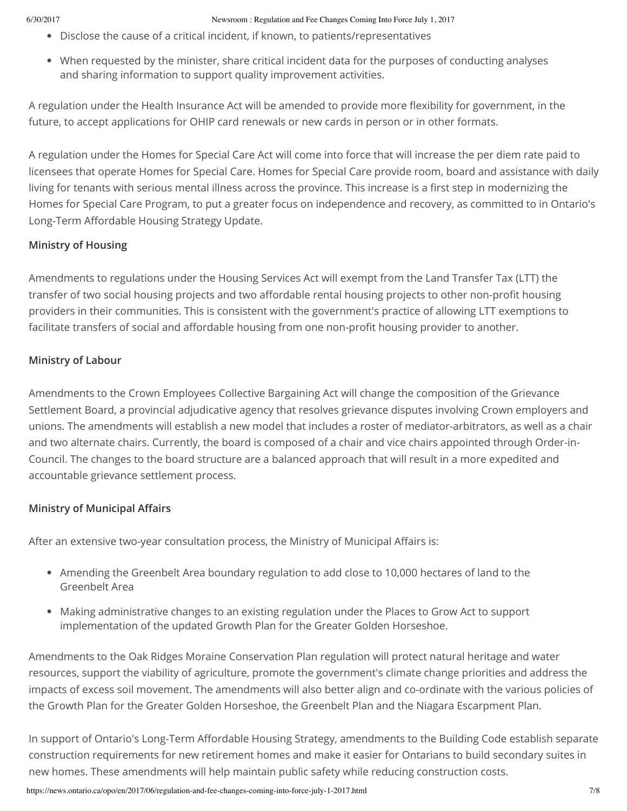- Disclose the cause of a critical incident, if known, to patients/representatives
- When requested by the minister, share critical incident data for the purposes of conducting analyses and sharing information to support quality improvement activities.

A regulation under the Health Insurance Act will be amended to provide more flexibility for government, in the future, to accept applications for OHIP card renewals or new cards in person or in other formats.

A regulation under the Homes for Special Care Act will come into force that will increase the per diem rate paid to licensees that operate Homes for Special Care. Homes for Special Care provide room, board and assistance with daily living for tenants with serious mental illness across the province. This increase is a first step in modernizing the Homes for Special Care Program, to put a greater focus on independence and recovery, as committed to in Ontario's Long-Term Affordable Housing Strategy Update.

#### **Ministry of Housing**

Amendments to regulations under the Housing Services Act will exempt from the Land Transfer Tax (LTT) the transfer of two social housing projects and two affordable rental housing projects to other non-profit housing providers in their communities. This is consistent with the government's practice of allowing LTT exemptions to facilitate transfers of social and affordable housing from one non-profit housing provider to another.

### **Ministry of Labour**

Amendments to the Crown Employees Collective Bargaining Act will change the composition of the Grievance Settlement Board, a provincial adjudicative agency that resolves grievance disputes involving Crown employers and unions. The amendments will establish a new model that includes a roster of mediator-arbitrators, as well as a chair and two alternate chairs. Currently, the board is composed of a chair and vice chairs appointed through Order-in-Council. The changes to the board structure are a balanced approach that will result in a more expedited and accountable grievance settlement process.

### **Ministry of Municipal Affairs**

After an extensive two-year consultation process, the Ministry of Municipal Affairs is:

- Amending the Greenbelt Area boundary regulation to add close to 10,000 hectares of land to the Greenbelt Area
- Making administrative changes to an existing regulation under the Places to Grow Act to support implementation of the updated Growth Plan for the Greater Golden Horseshoe.

Amendments to the Oak Ridges Moraine Conservation Plan regulation will protect natural heritage and water resources, support the viability of agriculture, promote the government's climate change priorities and address the impacts of excess soil movement. The amendments will also better align and co-ordinate with the various policies of the Growth Plan for the Greater Golden Horseshoe, the Greenbelt Plan and the Niagara Escarpment Plan.

In support of Ontario's Long-Term Affordable Housing Strategy, amendments to the Building Code establish separate construction requirements for new retirement homes and make it easier for Ontarians to build secondary suites in new homes. These amendments will help maintain public safety while reducing construction costs.